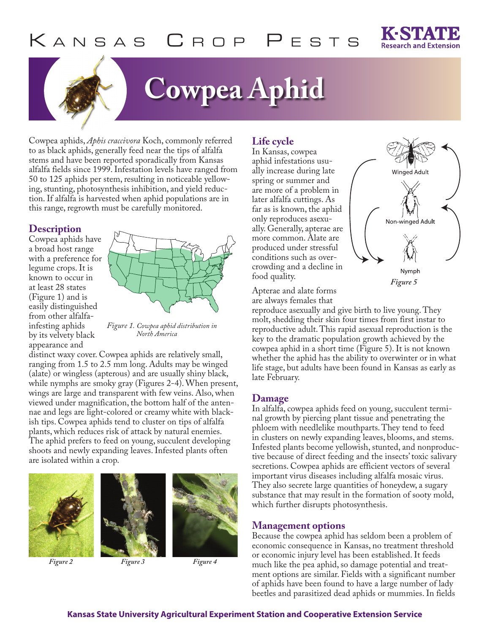

# **Cowpea Aphid**

Cowpea aphids, *Aphis craccivora* Koch, commonly referred to as black aphids, generally feed near the tips of alfalfa stems and have been reported sporadically from Kansas alfalfa fields since 1999. Infestation levels have ranged from 50 to 125 aphids per stem, resulting in noticeable yellowing, stunting, photosynthesis inhibition, and yield reduction. If alfalfa is harvested when aphid populations are in this range, regrowth must be carefully monitored.

#### **Description**

Cowpea aphids have a broad host range with a preference for legume crops. It is known to occur in at least 28 states (Figure 1) and is easily distinguished from other alfalfainfesting aphids by its velvety black appearance and



*Figure 1. Cowpea aphid distribution in North America*

distinct waxy cover. Cowpea aphids are relatively small, ranging from 1.5 to 2.5 mm long. Adults may be winged (alate) or wingless (apterous) and are usually shiny black, while nymphs are smoky gray (Figures 2-4). When present, wings are large and transparent with few veins. Also, when viewed under magnification, the bottom half of the antennae and legs are light-colored or creamy white with blackish tips. Cowpea aphids tend to cluster on tips of alfalfa plants, which reduces risk of attack by natural enemies. The aphid prefers to feed on young, succulent developing shoots and newly expanding leaves. Infested plants often are isolated within a crop.





*Figure 2 Figure 3 Figure 4*

## **Life cycle**

In Kansas, cowpea aphid infestations usually increase during late spring or summer and are more of a problem in later alfalfa cuttings. As far as is known, the aphid only reproduces asexually. Generally, apterae are more common. Alate are produced under stressful conditions such as overcrowding and a decline in food quality.



Apterae and alate forms are always females that

reproduce asexually and give birth to live young. They molt, shedding their skin four times from first instar to reproductive adult. This rapid asexual reproduction is the key to the dramatic population growth achieved by the cowpea aphid in a short time (Figure 5). It is not known whether the aphid has the ability to overwinter or in what life stage, but adults have been found in Kansas as early as late February.

### **Damage**

In alfalfa, cowpea aphids feed on young, succulent terminal growth by piercing plant tissue and penetrating the phloem with needlelike mouthparts. They tend to feed in clusters on newly expanding leaves, blooms, and stems. Infested plants become yellowish, stunted, and nonproductive because of direct feeding and the insects' toxic salivary secretions. Cowpea aphids are efficient vectors of several important virus diseases including alfalfa mosaic virus. They also secrete large quantities of honeydew, a sugary substance that may result in the formation of sooty mold, which further disrupts photosynthesis.

### **Management options**

Because the cowpea aphid has seldom been a problem of economic consequence in Kansas, no treatment threshold or economic injury level has been established. It feeds much like the pea aphid, so damage potential and treatment options are similar. Fields with a significant number of aphids have been found to have a large number of lady beetles and parasitized dead aphids or mummies. In fields

#### **Kansas State University Agricultural Experiment Station and Cooperative Extension Service**